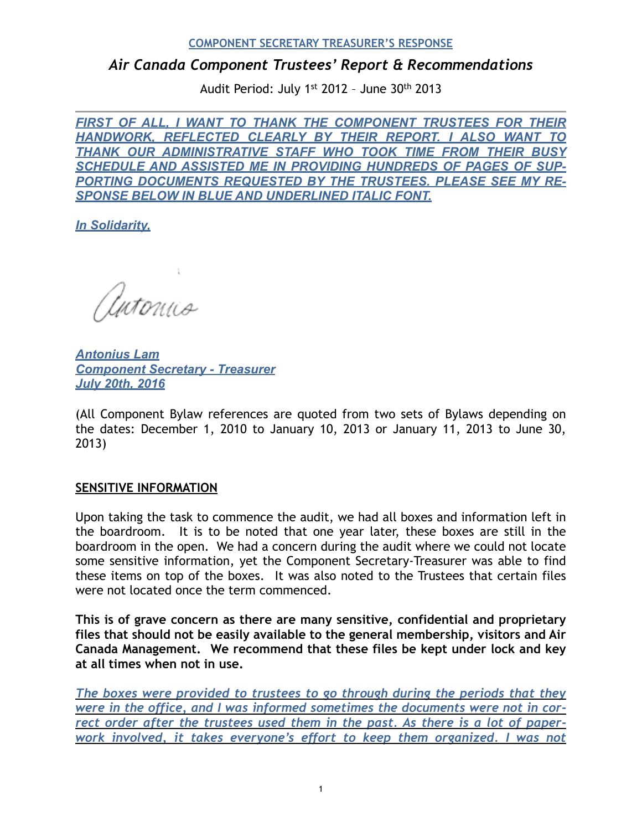# *Air Canada Component Trustees' Report & Recommendations*

Audit Period: July 1st 2012 – June 30th 2013

**FIRST OF ALL, I WANT TO THANK THE COMPONENT TRUSTEES FOR THEIR** *HANDWORK, REFLECTED CLEARLY BY THEIR REPORT. I ALSO WANT TO THANK OUR ADMINISTRATIVE STAFF WHO TOOK TIME FROM THEIR BUSY SCHEDULE AND ASSISTED ME IN PROVIDING HUNDREDS OF PAGES OF SUP-PORTING DOCUMENTS REQUESTED BY THE TRUSTEES. PLEASE SEE MY RE-SPONSE BELOW IN BLUE AND UNDERLINED ITALIC FONT.*

*In Solidarity,*

Antonico

*Antonius Lam Component Secretary - Treasurer July 20th, 2016* 

(All Component Bylaw references are quoted from two sets of Bylaws depending on the dates: December 1, 2010 to January 10, 2013 or January 11, 2013 to June 30, 2013)

#### **SENSITIVE INFORMATION**

Upon taking the task to commence the audit, we had all boxes and information left in the boardroom. It is to be noted that one year later, these boxes are still in the boardroom in the open. We had a concern during the audit where we could not locate some sensitive information, yet the Component Secretary-Treasurer was able to find these items on top of the boxes. It was also noted to the Trustees that certain files were not located once the term commenced.

**This is of grave concern as there are many sensitive, confidential and proprietary files that should not be easily available to the general membership, visitors and Air Canada Management. We recommend that these files be kept under lock and key at all times when not in use.** 

*The boxes were provided to trustees to go through during the periods that they were in the office, and I was informed sometimes the documents were not in correct order after the trustees used them in the past. As there is a lot of paperwork involved, it takes everyone's effort to keep them organized. I was not*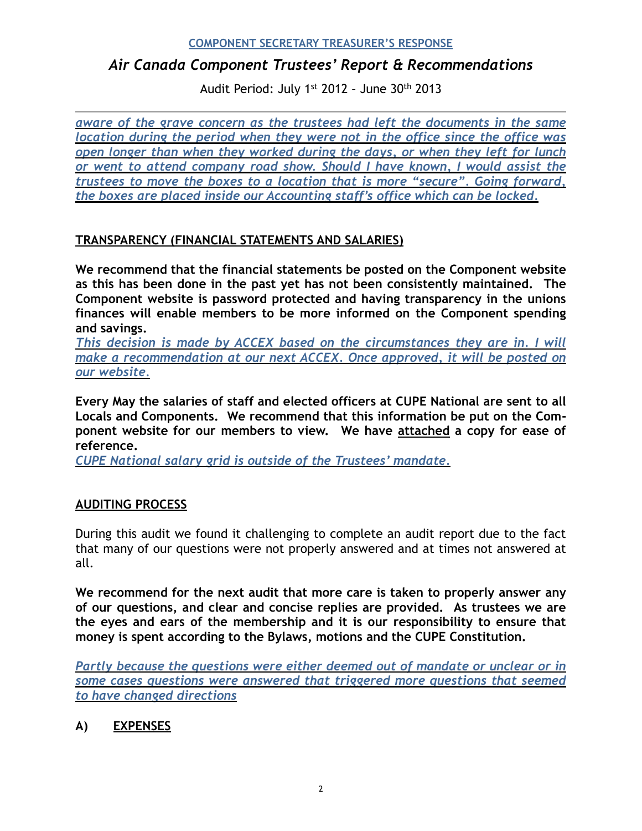# *Air Canada Component Trustees' Report & Recommendations*

Audit Period: July 1st 2012 – June 30th 2013

*aware of the grave concern as the trustees had left the documents in the same location during the period when they were not in the office since the office was open longer than when they worked during the days, or when they left for lunch or went to attend company road show. Should I have known, I would assist the trustees to move the boxes to a location that is more "secure". Going forward, the boxes are placed inside our Accounting staff's office which can be locked.*

## **TRANSPARENCY (FINANCIAL STATEMENTS AND SALARIES)**

**We recommend that the financial statements be posted on the Component website as this has been done in the past yet has not been consistently maintained. The Component website is password protected and having transparency in the unions finances will enable members to be more informed on the Component spending and savings.** 

*This decision is made by ACCEX based on the circumstances they are in. I will make a recommendation at our next ACCEX. Once approved, it will be posted on our website.*

**Every May the salaries of staff and elected officers at CUPE National are sent to all Locals and Components. We recommend that this information be put on the Component website for our members to view. We have attached a copy for ease of reference.** 

*CUPE National salary grid is outside of the Trustees' mandate.*

#### **AUDITING PROCESS**

During this audit we found it challenging to complete an audit report due to the fact that many of our questions were not properly answered and at times not answered at all.

**We recommend for the next audit that more care is taken to properly answer any of our questions, and clear and concise replies are provided. As trustees we are the eyes and ears of the membership and it is our responsibility to ensure that money is spent according to the Bylaws, motions and the CUPE Constitution.** 

*Partly because the questions were either deemed out of mandate or unclear or in some cases questions were answered that triggered more questions that seemed to have changed directions* 

## **A) EXPENSES**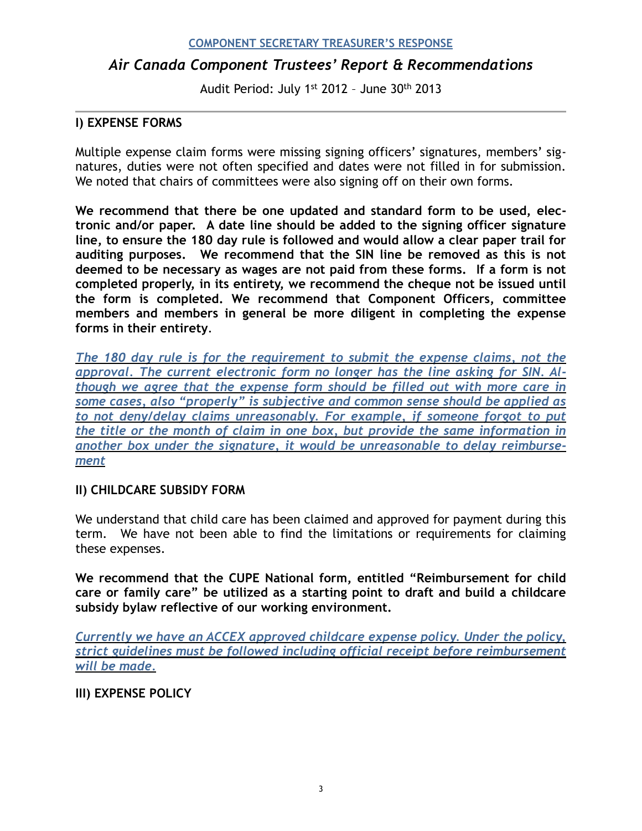# *Air Canada Component Trustees' Report & Recommendations*

Audit Period: July 1st 2012 – June 30th 2013

## **I) EXPENSE FORMS**

Multiple expense claim forms were missing signing officers' signatures, members' signatures, duties were not often specified and dates were not filled in for submission. We noted that chairs of committees were also signing off on their own forms.

**We recommend that there be one updated and standard form to be used, electronic and/or paper. A date line should be added to the signing officer signature line, to ensure the 180 day rule is followed and would allow a clear paper trail for auditing purposes. We recommend that the SIN line be removed as this is not deemed to be necessary as wages are not paid from these forms. If a form is not completed properly, in its entirety, we recommend the cheque not be issued until the form is completed. We recommend that Component Officers, committee members and members in general be more diligent in completing the expense forms in their entirety**.

*The 180 day rule is for the requirement to submit the expense claims, not the approval. The current electronic form no longer has the line asking for SIN. Although we agree that the expense form should be filled out with more care in some cases, also "properly" is subjective and common sense should be applied as to not deny/delay claims unreasonably. For example, if someone forgot to put the title or the month of claim in one box, but provide the same information in another box under the signature, it would be unreasonable to delay reimbursement*

#### **II) CHILDCARE SUBSIDY FORM**

We understand that child care has been claimed and approved for payment during this term. We have not been able to find the limitations or requirements for claiming these expenses.

**We recommend that the CUPE National form, entitled "Reimbursement for child care or family care" be utilized as a starting point to draft and build a childcare subsidy bylaw reflective of our working environment.** 

*Currently we have an ACCEX approved childcare expense policy. Under the policy, strict guidelines must be followed including official receipt before reimbursement will be made.*

**III) EXPENSE POLICY**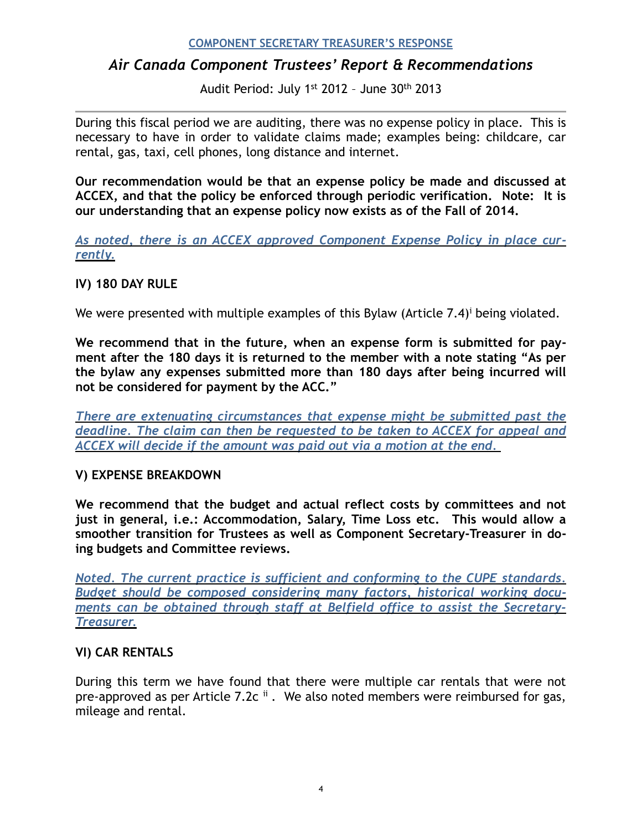# *Air Canada Component Trustees' Report & Recommendations*

<span id="page-3-0"></span>Audit Period: July 1st 2012 – June 30th 2013

During this fiscal period we are auditing, there was no expense policy in place. This is necessary to have in order to validate claims made; examples being: childcare, car rental, gas, taxi, cell phones, long distance and internet.

**Our recommendation would be that an expense policy be made and discussed at ACCEX, and that the policy be enforced through periodic verification. Note: It is our understanding that an expense policy now exists as of the Fall of 2014.** 

*As noted, there is an ACCEX approved Component Expense Policy in place currently.*

#### **IV) 180 DAY RULE**

We were presented w[i](#page-15-0)th multiple examples of this Bylaw (Article  $7.4$ )<sup>*i*</sup> being violated.

**We recommend that in the future, when an expense form is submitted for payment after the 180 days it is returned to the member with a note stating "As per the bylaw any expenses submitted more than 180 days after being incurred will not be considered for payment by the ACC."** 

*There are extenuating circumstances that expense might be submitted past the deadline. The claim can then be requested to be taken to ACCEX for appeal and ACCEX will decide if the amount was paid out via a motion at the end.* 

#### **V) EXPENSE BREAKDOWN**

**We recommend that the budget and actual reflect costs by committees and not just in general, i.e.: Accommodation, Salary, Time Loss etc. This would allow a smoother transition for Trustees as well as Component Secretary-Treasurer in doing budgets and Committee reviews.** 

*Noted. The current practice is sufficient and conforming to the CUPE standards. Budget should be composed considering many factors, historical working documents can be obtained through staff at Belfield office to assist the Secretary-Treasurer.* 

## **VI) CAR RENTALS**

<span id="page-3-1"></span>During this term we have found that there were multiple car rentals that were not pre-approvedas per Article 7.2c  $\text{ii}$  $\text{ii}$  $\text{ii}$ . We also noted members were reimbursed for gas, mileage and rental.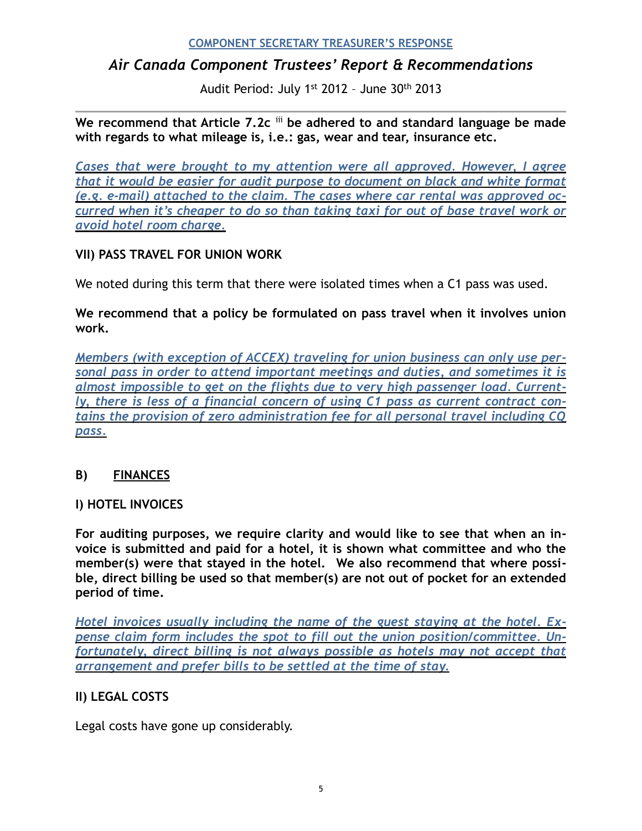# *Air Canada Component Trustees' Report & Recommendations*

<span id="page-4-0"></span>Audit Period: July 1st 2012 – June 30th 2013

We recommend that Article 7.2c iii be adhered to and standard language be made **with regards to what mileage is, i.e.: gas, wear and tear, insurance etc.** 

*Cases that were brought to my attention were all approved. However, I agree that it would be easier for audit purpose to document on black and white format (e.g. e-mail) attached to the claim. The cases where car rental was approved occurred when it's cheaper to do so than taking taxi for out of base travel work or avoid hotel room charge.*

## **VII) PASS TRAVEL FOR UNION WORK**

We noted during this term that there were isolated times when a C1 pass was used.

**We recommend that a policy be formulated on pass travel when it involves union work.** 

*Members (with exception of ACCEX) traveling for union business can only use personal pass in order to attend important meetings and duties, and sometimes it is almost impossible to get on the flights due to very high passenger load. Currently, there is less of a financial concern of using C1 pass as current contract contains the provision of zero administration fee for all personal travel including CQ pass.*

## **B) FINANCES**

#### **I) HOTEL INVOICES**

**For auditing purposes, we require clarity and would like to see that when an invoice is submitted and paid for a hotel, it is shown what committee and who the member(s) were that stayed in the hotel. We also recommend that where possible, direct billing be used so that member(s) are not out of pocket for an extended period of time.** 

*Hotel invoices usually including the name of the guest staying at the hotel. Expense claim form includes the spot to fill out the union position/committee. Unfortunately, direct billing is not always possible as hotels may not accept that arrangement and prefer bills to be settled at the time of stay.* 

## **II) LEGAL COSTS**

Legal costs have gone up considerably.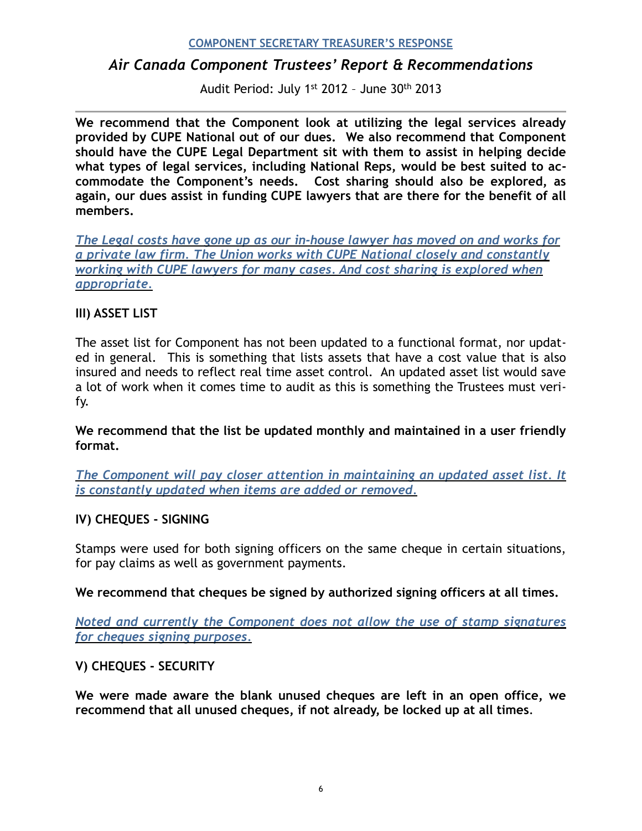# *Air Canada Component Trustees' Report & Recommendations*

Audit Period: July 1st 2012 – June 30th 2013

**We recommend that the Component look at utilizing the legal services already provided by CUPE National out of our dues. We also recommend that Component should have the CUPE Legal Department sit with them to assist in helping decide what types of legal services, including National Reps, would be best suited to accommodate the Component's needs. Cost sharing should also be explored, as again, our dues assist in funding CUPE lawyers that are there for the benefit of all members.**

*The Legal costs have gone up as our in-house lawyer has moved on and works for a private law firm. The Union works with CUPE National closely and constantly working with CUPE lawyers for many cases. And cost sharing is explored when appropriate.*

## **III) ASSET LIST**

The asset list for Component has not been updated to a functional format, nor updated in general. This is something that lists assets that have a cost value that is also insured and needs to reflect real time asset control. An updated asset list would save a lot of work when it comes time to audit as this is something the Trustees must verify.

**We recommend that the list be updated monthly and maintained in a user friendly format.** 

*The Component will pay closer attention in maintaining an updated asset list. It is constantly updated when items are added or removed.*

#### **IV) CHEQUES - SIGNING**

Stamps were used for both signing officers on the same cheque in certain situations, for pay claims as well as government payments.

**We recommend that cheques be signed by authorized signing officers at all times.** 

*Noted and currently the Component does not allow the use of stamp signatures for cheques signing purposes.*

## **V) CHEQUES - SECURITY**

**We were made aware the blank unused cheques are left in an open office, we recommend that all unused cheques, if not already, be locked up at all times**.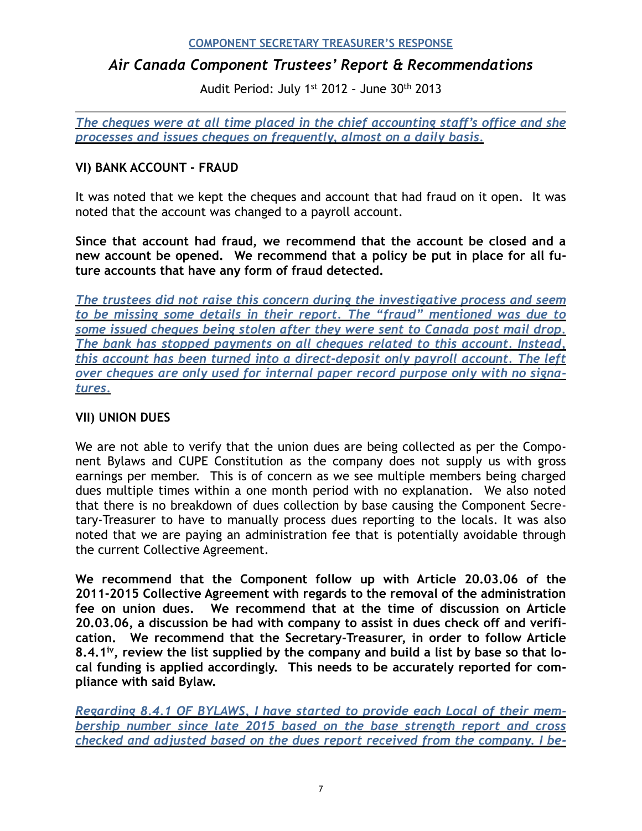# *Air Canada Component Trustees' Report & Recommendations*

Audit Period: July 1st 2012 – June 30th 2013

*The cheques were at all time placed in the chief accounting staff's office and she processes and issues cheques on frequently, almost on a daily basis.* 

## **VI) BANK ACCOUNT - FRAUD**

It was noted that we kept the cheques and account that had fraud on it open. It was noted that the account was changed to a payroll account.

**Since that account had fraud, we recommend that the account be closed and a new account be opened. We recommend that a policy be put in place for all future accounts that have any form of fraud detected.** 

*The trustees did not raise this concern during the investigative process and seem to be missing some details in their report. The "fraud" mentioned was due to some issued cheques being stolen after they were sent to Canada post mail drop. The bank has stopped payments on all cheques related to this account. Instead, this account has been turned into a direct-deposit only payroll account. The left over cheques are only used for internal paper record purpose only with no signatures.*

## **VII) UNION DUES**

We are not able to verify that the union dues are being collected as per the Component Bylaws and CUPE Constitution as the company does not supply us with gross earnings per member. This is of concern as we see multiple members being charged dues multiple times within a one month period with no explanation. We also noted that there is no breakdown of dues collection by base causing the Component Secretary-Treasurer to have to manually process dues reporting to the locals. It was also noted that we are paying an administration fee that is potentially avoidable through the current Collective Agreement.

**We recommend that the Component follow up with Article 20.03.06 of the 2011-2015 Collective Agreement with regards to the removal of the administration fee on union dues. We recommend that at the time of discussion on Article 20.03.06, a discussion be had with company to assist in dues check off and verification. We recommend that the Secretary-Treasurer, in order to follow Article 8.4.1<sup>[iv](#page-16-1)</sup>, review the list supplied by the company and build a list by base so that local funding is applied accordingly. This needs to be accurately reported for compliance with said Bylaw.** 

<span id="page-6-0"></span>*Regarding 8.4.1 OF BYLAWS, I have started to provide each Local of their membership number since late 2015 based on the base strength report and cross checked and adjusted based on the dues report received from the company. I be-*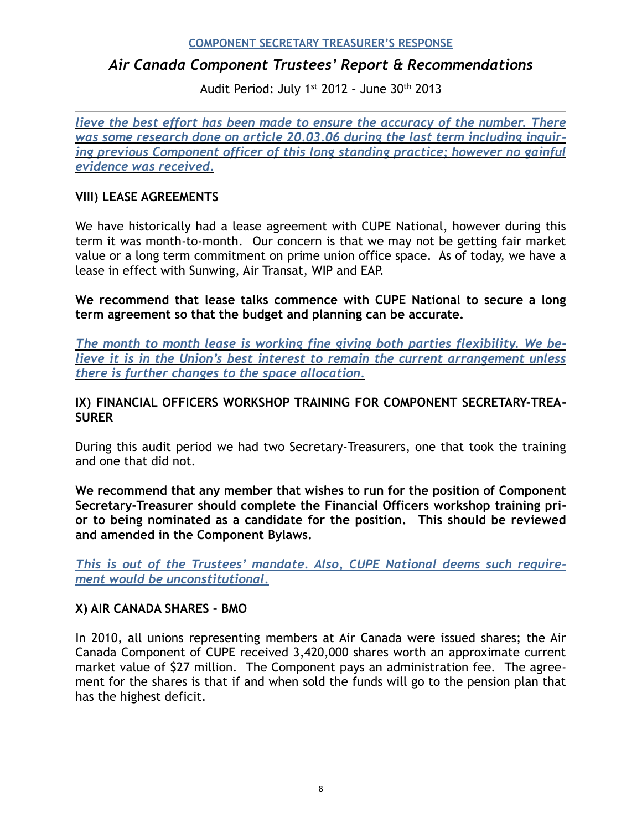# *Air Canada Component Trustees' Report & Recommendations*

Audit Period: July 1st 2012 – June 30th 2013

*lieve the best effort has been made to ensure the accuracy of the number. There was some research done on article 20.03.06 during the last term including inquiring previous Component officer of this long standing practice; however no gainful evidence was received.* 

### **VIII) LEASE AGREEMENTS**

We have historically had a lease agreement with CUPE National, however during this term it was month-to-month. Our concern is that we may not be getting fair market value or a long term commitment on prime union office space. As of today, we have a lease in effect with Sunwing, Air Transat, WIP and EAP.

**We recommend that lease talks commence with CUPE National to secure a long term agreement so that the budget and planning can be accurate.** 

*The month to month lease is working fine giving both parties flexibility. We believe it is in the Union's best interest to remain the current arrangement unless there is further changes to the space allocation.*

## **IX) FINANCIAL OFFICERS WORKSHOP TRAINING FOR COMPONENT SECRETARY-TREA-SURER**

During this audit period we had two Secretary-Treasurers, one that took the training and one that did not.

**We recommend that any member that wishes to run for the position of Component Secretary-Treasurer should complete the Financial Officers workshop training prior to being nominated as a candidate for the position. This should be reviewed and amended in the Component Bylaws.** 

*This is out of the Trustees' mandate. Also, CUPE National deems such requirement would be unconstitutional.*

#### **X) AIR CANADA SHARES - BMO**

In 2010, all unions representing members at Air Canada were issued shares; the Air Canada Component of CUPE received 3,420,000 shares worth an approximate current market value of \$27 million. The Component pays an administration fee. The agreement for the shares is that if and when sold the funds will go to the pension plan that has the highest deficit.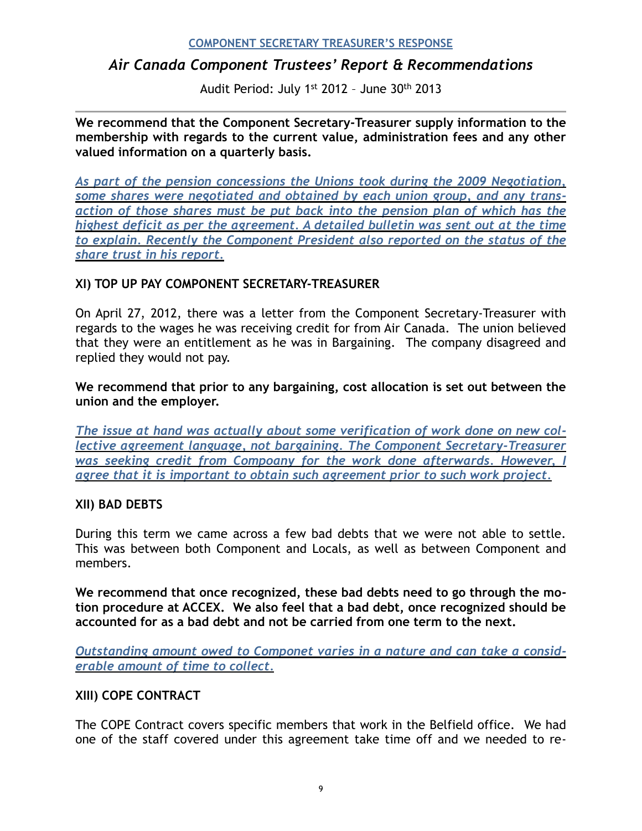# *Air Canada Component Trustees' Report & Recommendations*

Audit Period: July 1st 2012 – June 30th 2013

**We recommend that the Component Secretary-Treasurer supply information to the membership with regards to the current value, administration fees and any other valued information on a quarterly basis.** 

*As part of the pension concessions the Unions took during the 2009 Negotiation, some shares were negotiated and obtained by each union group, and any transaction of those shares must be put back into the pension plan of which has the highest deficit as per the agreement. A detailed bulletin was sent out at the time to explain. Recently the Component President also reported on the status of the share trust in his report.*

## **XI) TOP UP PAY COMPONENT SECRETARY-TREASURER**

On April 27, 2012, there was a letter from the Component Secretary-Treasurer with regards to the wages he was receiving credit for from Air Canada. The union believed that they were an entitlement as he was in Bargaining. The company disagreed and replied they would not pay.

**We recommend that prior to any bargaining, cost allocation is set out between the union and the employer.** 

*The issue at hand was actually about some verification of work done on new collective agreement language, not bargaining. The Component Secretary-Treasurer was seeking credit from Compoany for the work done afterwards. However, I agree that it is important to obtain such agreement prior to such work project.* 

#### **XII) BAD DEBTS**

During this term we came across a few bad debts that we were not able to settle. This was between both Component and Locals, as well as between Component and members.

**We recommend that once recognized, these bad debts need to go through the motion procedure at ACCEX. We also feel that a bad debt, once recognized should be accounted for as a bad debt and not be carried from one term to the next.** 

*Outstanding amount owed to Componet varies in a nature and can take a considerable amount of time to collect.*

#### **XIII) COPE CONTRACT**

The COPE Contract covers specific members that work in the Belfield office. We had one of the staff covered under this agreement take time off and we needed to re-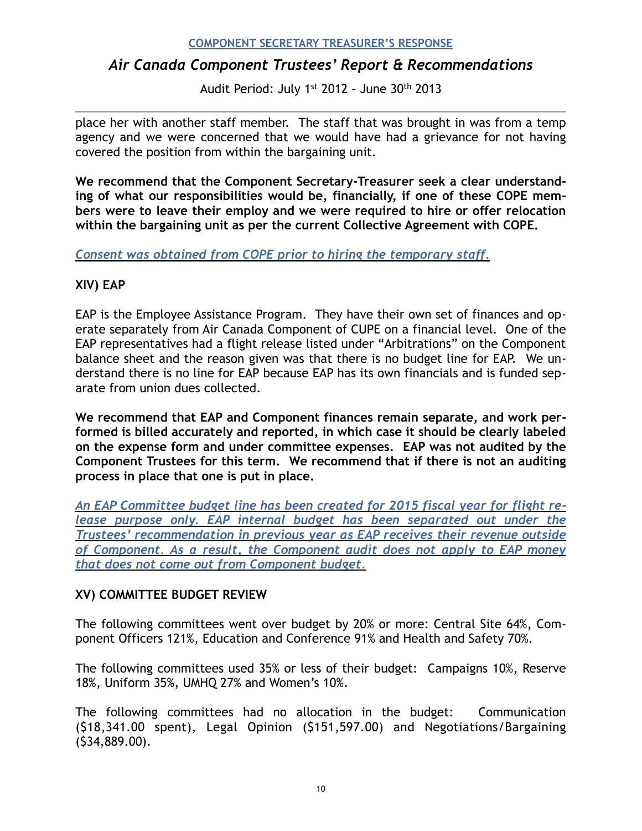# *Air Canada Component Trustees' Report & Recommendations*

Audit Period: July 1st 2012 – June 30th 2013

place her with another staff member. The staff that was brought in was from a temp agency and we were concerned that we would have had a grievance for not having covered the position from within the bargaining unit.

**We recommend that the Component Secretary-Treasurer seek a clear understanding of what our responsibilities would be, financially, if one of these COPE members were to leave their employ and we were required to hire or offer relocation within the bargaining unit as per the current Collective Agreement with COPE.** 

*Consent was obtained from COPE prior to hiring the temporary staff.* 

## **XIV) EAP**

EAP is the Employee Assistance Program. They have their own set of finances and operate separately from Air Canada Component of CUPE on a financial level. One of the EAP representatives had a flight release listed under "Arbitrations" on the Component balance sheet and the reason given was that there is no budget line for EAP. We understand there is no line for EAP because EAP has its own financials and is funded separate from union dues collected.

**We recommend that EAP and Component finances remain separate, and work performed is billed accurately and reported, in which case it should be clearly labeled on the expense form and under committee expenses. EAP was not audited by the Component Trustees for this term. We recommend that if there is not an auditing process in place that one is put in place.** 

*An EAP Committee budget line has been created for 2015 fiscal year for flight re*lease purpose only. EAP internal budget has been separated out under the *Trustees' recommendation in previous year as EAP receives their revenue outside of Component. As a result, the Component audit does not apply to EAP money that does not come out from Component budget.* 

## **XV) COMMITTEE BUDGET REVIEW**

The following committees went over budget by 20% or more: Central Site 64%, Component Officers 121%, Education and Conference 91% and Health and Safety 70%.

The following committees used 35% or less of their budget: Campaigns 10%, Reserve 18%, Uniform 35%, UMHQ 27% and Women's 10%.

The following committees had no allocation in the budget: Communication (\$18,341.00 spent), Legal Opinion (\$151,597.00) and Negotiations/Bargaining (\$34,889.00).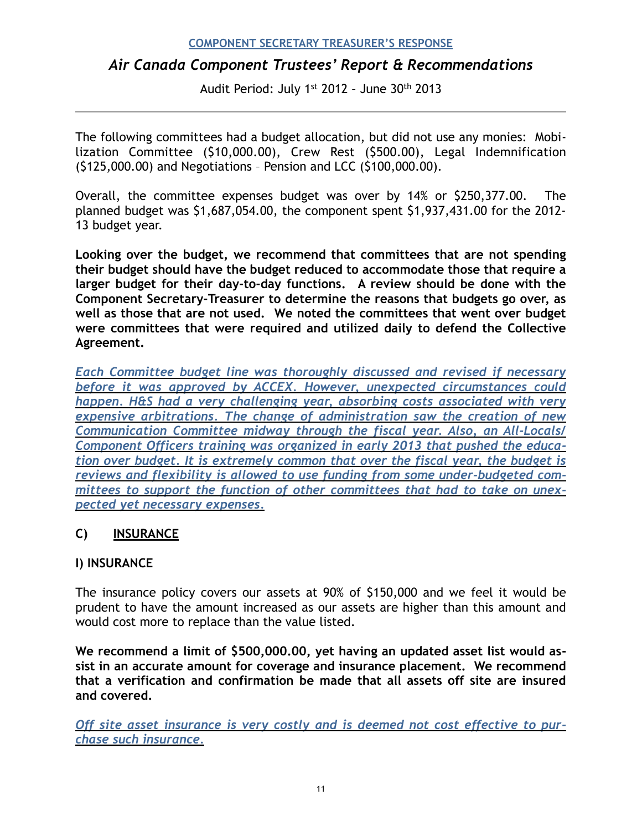# *Air Canada Component Trustees' Report & Recommendations*

Audit Period: July 1st 2012 – June 30th 2013

The following committees had a budget allocation, but did not use any monies: Mobilization Committee (\$10,000.00), Crew Rest (\$500.00), Legal Indemnification (\$125,000.00) and Negotiations – Pension and LCC (\$100,000.00).

Overall, the committee expenses budget was over by 14% or \$250,377.00. The planned budget was \$1,687,054.00, the component spent \$1,937,431.00 for the 2012- 13 budget year.

**Looking over the budget, we recommend that committees that are not spending their budget should have the budget reduced to accommodate those that require a larger budget for their day-to-day functions. A review should be done with the Component Secretary-Treasurer to determine the reasons that budgets go over, as well as those that are not used. We noted the committees that went over budget were committees that were required and utilized daily to defend the Collective Agreement.** 

*Each Committee budget line was thoroughly discussed and revised if necessary before it was approved by ACCEX. However, unexpected circumstances could happen. H&S had a very challenging year, absorbing costs associated with very expensive arbitrations. The change of administration saw the creation of new Communication Committee midway through the fiscal year. Also, an All-Locals/ Component Officers training was organized in early 2013 that pushed the education over budget. It is extremely common that over the fiscal year, the budget is reviews and flexibility is allowed to use funding from some under-budgeted committees to support the function of other committees that had to take on unexpected yet necessary expenses.*

## **C) INSURANCE**

## **I) INSURANCE**

The insurance policy covers our assets at 90% of \$150,000 and we feel it would be prudent to have the amount increased as our assets are higher than this amount and would cost more to replace than the value listed.

**We recommend a limit of \$500,000.00, yet having an updated asset list would assist in an accurate amount for coverage and insurance placement. We recommend that a verification and confirmation be made that all assets off site are insured and covered.** 

*Off site asset insurance is very costly and is deemed not cost effective to purchase such insurance.*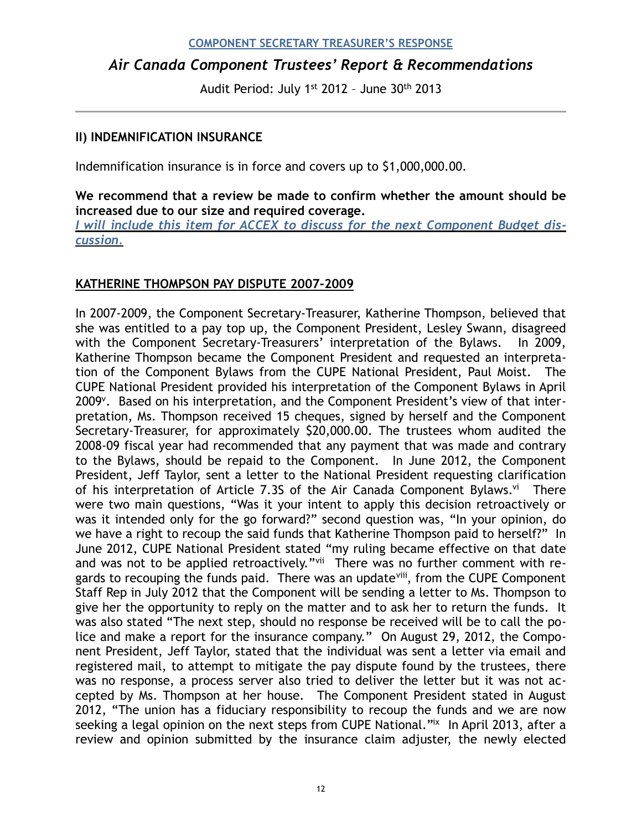# *Air Canada Component Trustees' Report & Recommendations*

Audit Period: July 1st 2012 – June 30th 2013

#### **II) INDEMNIFICATION INSURANCE**

Indemnification insurance is in force and covers up to \$1,000,000.00.

**We recommend that a review be made to confirm whether the amount should be increased due to our size and required coverage.** 

*I will include this item for ACCEX to discuss for the next Component Budget discussion.*

## **KATHERINE THOMPSON PAY DISPUTE 2007-2009**

<span id="page-11-4"></span><span id="page-11-3"></span><span id="page-11-2"></span><span id="page-11-1"></span><span id="page-11-0"></span>In 2007-2009, the Component Secretary-Treasurer, Katherine Thompson, believed that she was entitled to a pay top up, the Component President, Lesley Swann, disagreed with the Component Secretary-Treasurers' interpretation of the Bylaws. In 2009, Katherine Thompson became the Component President and requested an interpretation of the Component Bylaws from the CUPE National President, Paul Moist. The CUPE National President provided his interpretation of the Component Bylaws in April 2009<sup>[v](#page-16-2)</sup>. Based on his interpretation, and the Component President's view of that interpretation, Ms. Thompson received 15 cheques, signed by herself and the Component Secretary-Treasurer, for approximately \$20,000.00. The trustees whom audited the 2008-09 fiscal year had recommended that any payment that was made and contrary to the Bylaws, should be repaid to the Component. In June 2012, the Component President, Jeff Taylor, sent a letter to the National President requesting clarification of his interpretation of Article 7.3S of the Air Canada Component Bylaws.<sup>[vi](#page-16-3)</sup> There were two main questions, "Was it your intent to apply this decision retroactively or was it intended only for the go forward?" second question was, "In your opinion, do we have a right to recoup the said funds that Katherine Thompson paid to herself?" In June 2012, CUPE National President stated "my ruling became effective on that date and was not to be applied retroactively." There was no further comment with regards to recouping the funds paid. There was an update<sup>[viii](#page-16-5)</sup>, from the CUPE Component Staff Rep in July 2012 that the Component will be sending a letter to Ms. Thompson to give her the opportunity to reply on the matter and to ask her to return the funds. It was also stated "The next step, should no response be received will be to call the police and make a report for the insurance company." On August 29, 2012, the Component President, Jeff Taylor, stated that the individual was sent a letter via email and registered mail, to attempt to mitigate the pay dispute found by the trustees, there was no response, a process server also tried to deliver the letter but it was not accepted by Ms. Thompson at her house. The Component President stated in August 2012, "The union has a fiduciary responsibility to recoup the funds and we are now seekinga legal opinion on the next steps from CUPE National." In April 2013, after a review and opinion submitted by the insurance claim adjuster, the newly elected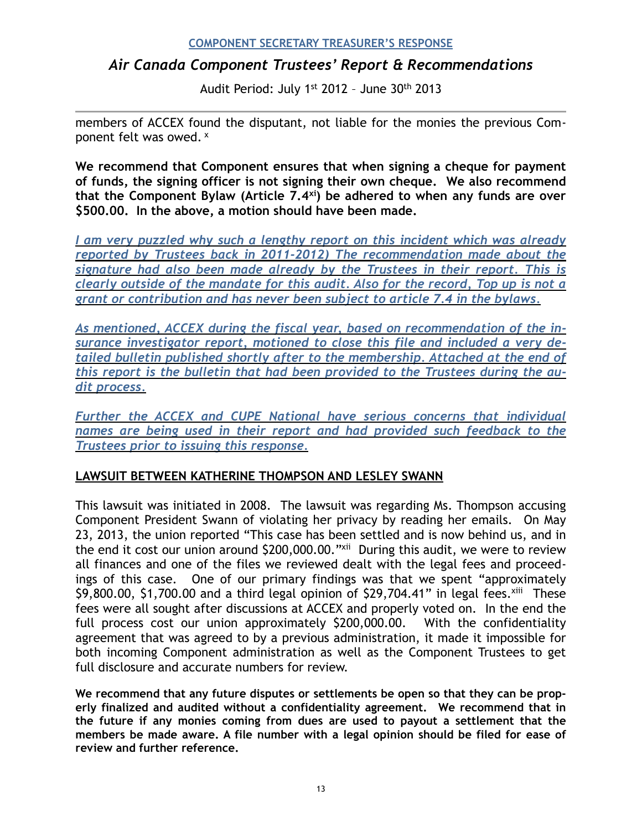# *Air Canada Component Trustees' Report & Recommendations*

<span id="page-12-1"></span><span id="page-12-0"></span>Audit Period: July 1st 2012 – June 30th 2013

members of ACCEX found the disputant, not liable for the monies the previous Component felt was owed. [x](#page-16-7)

**We recommend that Component ensures that when signing a cheque for payment of funds, the signing officer is not signing their own cheque. We also recommend that the Component Bylaw (Article 7.4 [\)](#page-16-8) be adhered to when any funds are over [xi](#page-16-8) \$500.00. In the above, a motion should have been made.** 

*I am very puzzled why such a lengthy report on this incident which was already reported by Trustees back in 2011-2012) The recommendation made about the signature had also been made already by the Trustees in their report. This is clearly outside of the mandate for this audit. Also for the record, Top up is not a grant or contribution and has never been subject to article 7.4 in the bylaws.* 

*As mentioned, ACCEX during the fiscal year, based on recommendation of the insurance investigator report, motioned to close this file and included a very detailed bulletin published shortly after to the membership. Attached at the end of this report is the bulletin that had been provided to the Trustees during the audit process.* 

*Further the ACCEX and CUPE National have serious concerns that individual names are being used in their report and had provided such feedback to the Trustees prior to issuing this response.* 

## **LAWSUIT BETWEEN KATHERINE THOMPSON AND LESLEY SWANN**

<span id="page-12-2"></span>This lawsuit was initiated in 2008. The lawsuit was regarding Ms. Thompson accusing Component President Swann of violating her privacy by reading her emails. On May 23, 2013, the union reported "This case has been settled and is now behind us, and in the end it cost our union around \$200,000.00."<sup>[xii](#page-16-9)</sup> During this audit, we were to review all finances and one of the files we reviewed dealt with the legal fees and proceedings of this case. One of our primary findings was that we spent "approximately  $$9,800.00, $1,700.00$  and a third legal opinion of  $$29,704.41"$  in legal fees[.](#page-16-10)  $x^{111}$  These fees were all sought after discussions at ACCEX and properly voted on. In the end the full process cost our union approximately \$200,000.00. With the confidentiality agreement that was agreed to by a previous administration, it made it impossible for both incoming Component administration as well as the Component Trustees to get full disclosure and accurate numbers for review.

<span id="page-12-3"></span>**We recommend that any future disputes or settlements be open so that they can be properly finalized and audited without a confidentiality agreement. We recommend that in the future if any monies coming from dues are used to payout a settlement that the members be made aware. A file number with a legal opinion should be filed for ease of review and further reference.**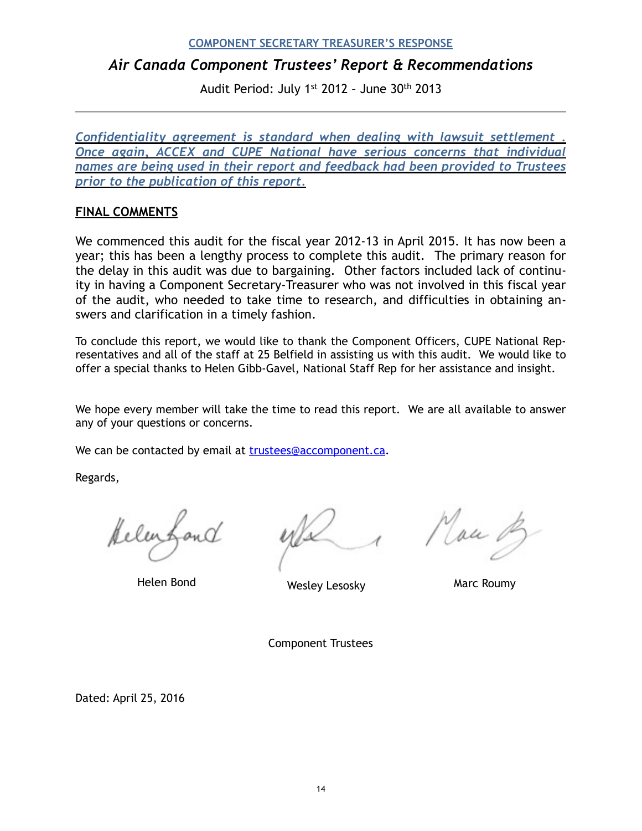# *Air Canada Component Trustees' Report & Recommendations*

Audit Period: July 1st 2012 – June 30th 2013

*Confidentiality agreement is standard when dealing with lawsuit settlement . Once again, ACCEX and CUPE National have serious concerns that individual names are being used in their report and feedback had been provided to Trustees prior to the publication of this report.* 

#### **FINAL COMMENTS**

We commenced this audit for the fiscal year 2012-13 in April 2015. It has now been a year; this has been a lengthy process to complete this audit. The primary reason for the delay in this audit was due to bargaining. Other factors included lack of continuity in having a Component Secretary-Treasurer who was not involved in this fiscal year of the audit, who needed to take time to research, and difficulties in obtaining answers and clarification in a timely fashion.

To conclude this report, we would like to thank the Component Officers, CUPE National Representatives and all of the staff at 25 Belfield in assisting us with this audit. We would like to offer a special thanks to Helen Gibb-Gavel, National Staff Rep for her assistance and insight.

We hope every member will take the time to read this report. We are all available to answer any of your questions or concerns.

We can be contacted by email at [trustees@accomponent.ca.](mailto:trustees@accomponent.ca)

Regards,

Mau 0

Helen Bond **Marc Roumy** Wesley Lesosky Marc Roumy

Component Trustees

Dated: April 25, 2016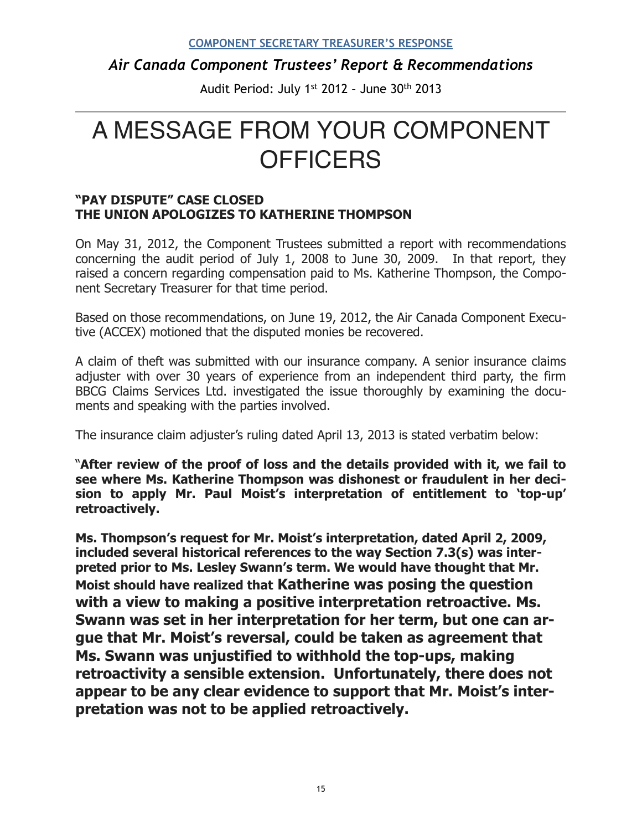# *Air Canada Component Trustees' Report & Recommendations*

Audit Period: July 1st 2012 – June 30th 2013

# A MESSAGE FROM YOUR COMPONENT **OFFICERS**

### **"PAY DISPUTE" CASE CLOSED THE UNION APOLOGIZES TO KATHERINE THOMPSON**

On May 31, 2012, the Component Trustees submitted a report with recommendations concerning the audit period of July 1, 2008 to June 30, 2009. In that report, they raised a concern regarding compensation paid to Ms. Katherine Thompson, the Component Secretary Treasurer for that time period.

Based on those recommendations, on June 19, 2012, the Air Canada Component Executive (ACCEX) motioned that the disputed monies be recovered.

A claim of theft was submitted with our insurance company. A senior insurance claims adjuster with over 30 years of experience from an independent third party, the firm BBCG Claims Services Ltd. investigated the issue thoroughly by examining the documents and speaking with the parties involved.

The insurance claim adjuster's ruling dated April 13, 2013 is stated verbatim below:

"**After review of the proof of loss and the details provided with it, we fail to see where Ms. Katherine Thompson was dishonest or fraudulent in her decision to apply Mr. Paul Moist's interpretation of entitlement to 'top-up' retroactively.** 

**Ms. Thompson's request for Mr. Moist's interpretation, dated April 2, 2009, included several historical references to the way Section 7.3(s) was interpreted prior to Ms. Lesley Swann's term. We would have thought that Mr. Moist should have realized that Katherine was posing the question with a view to making a positive interpretation retroactive. Ms. Swann was set in her interpretation for her term, but one can argue that Mr. Moist's reversal, could be taken as agreement that Ms. Swann was unjustified to withhold the top-ups, making retroactivity a sensible extension. Unfortunately, there does not appear to be any clear evidence to support that Mr. Moist's interpretation was not to be applied retroactively.**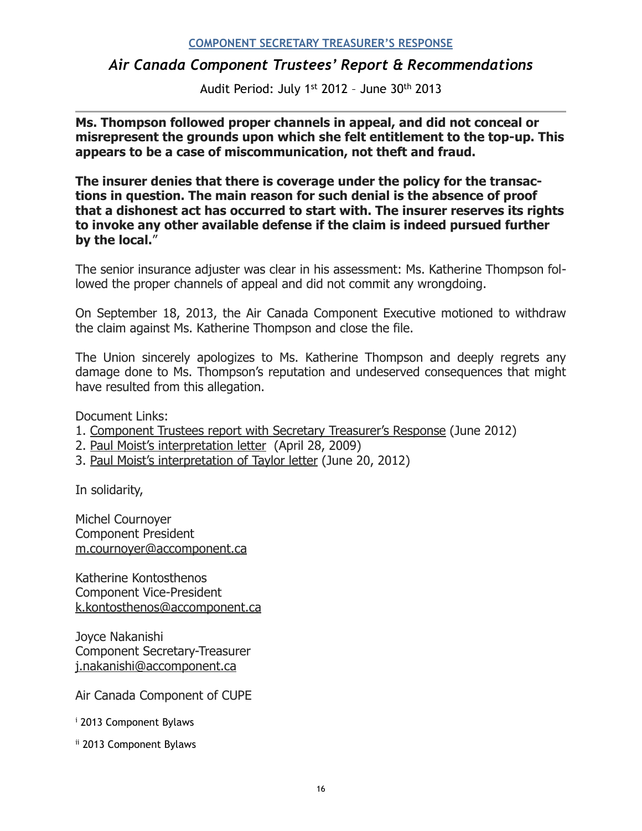## *Air Canada Component Trustees' Report & Recommendations*

Audit Period: July 1st 2012 – June 30th 2013

**Ms. Thompson followed proper channels in appeal, and did not conceal or misrepresent the grounds upon which she felt entitlement to the top-up. This appears to be a case of miscommunication, not theft and fraud.** 

**The insurer denies that there is coverage under the policy for the transactions in question. The main reason for such denial is the absence of proof that a dishonest act has occurred to start with. The insurer reserves its rights to invoke any other available defense if the claim is indeed pursued further by the local.**"

The senior insurance adjuster was clear in his assessment: Ms. Katherine Thompson followed the proper channels of appeal and did not commit any wrongdoing.

On September 18, 2013, the Air Canada Component Executive motioned to withdraw the claim against Ms. Katherine Thompson and close the file.

The Union sincerely apologizes to Ms. Katherine Thompson and deeply regrets any damage done to Ms. Thompson's reputation and undeserved consequences that might have resulted from this allegation.

Document Links:

- 1. [Component Trustees report with Secretary Treasurer's Response](http://accomponent.us6.list-manage1.com/track/click?u=f6750312d5&id=2acfc2c32f&e=8ec33cd3e1) (June 2012)
- 2. [Paul Moist's interpretation letter](http://accomponent.us6.list-manage.com/track/click?u=f6750312d5&id=23b65a9a4c&e=8ec33cd3e1) (April 28, 2009)
- 3. [Paul Moist's interpretation of Taylor letter](http://accomponent.us6.list-manage2.com/track/click?u=f6750312d5&id=114f63ff43&e=8ec33cd3e1) (June 20, 2012)

In solidarity,

Michel Cournoyer Component President [m.cournoyer@accomponent.ca](mailto:m.cournoyer@accomponent.ca)

Katherine Kontosthenos Component Vice-President [k.kontosthenos@accomponent.ca](mailto:k.kontosthenos@accomponent.ca)

Joyce Nakanishi Component Secretary-Treasurer [j.nakanishi@accomponent.ca](mailto:j.nakanishi@accomponent.ca)

Air Canada Component of CUPE

<span id="page-15-0"></span><sup>[i](#page-3-0)</sup> 2013 Component Bylaws

<span id="page-15-1"></span>[ii](#page-3-1) 2013 Component Bylaws